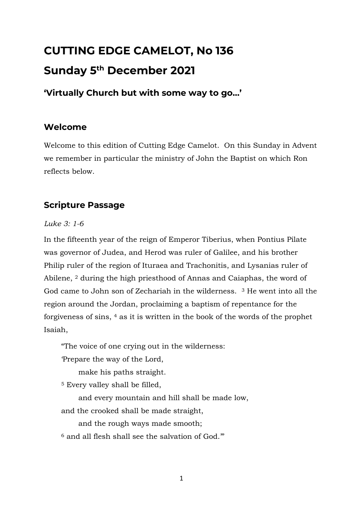# **CUTTING EDGE CAMELOT, No 136 Sunday 5 th December 2021**

**'Virtually Church but with some way to go…'**

## **Welcome**

Welcome to this edition of Cutting Edge Camelot. On this Sunday in Advent we remember in particular the ministry of John the Baptist on which Ron reflects below.

# **Scripture Passage**

#### *Luke 3: 1-6*

In the fifteenth year of the reign of Emperor Tiberius, when Pontius Pilate was governor of Judea, and Herod was ruler of Galilee, and his brother Philip ruler of the region of Ituraea and Trachonitis, and Lysanias ruler of Abilene, <sup>2</sup> during the high priesthood of Annas and Caiaphas, the word of God came to John son of Zechariah in the wilderness. <sup>3</sup> He went into all the region around the Jordan, proclaiming a baptism of repentance for the forgiveness of sins, <sup>4</sup> as it is written in the book of the words of the prophet Isaiah,

"The voice of one crying out in the wilderness:

'Prepare the way of the Lord,

make his paths straight.

<sup>5</sup> Every valley shall be filled,

and every mountain and hill shall be made low,

and the crooked shall be made straight,

and the rough ways made smooth;

 $6$  and all flesh shall see the salvation of God."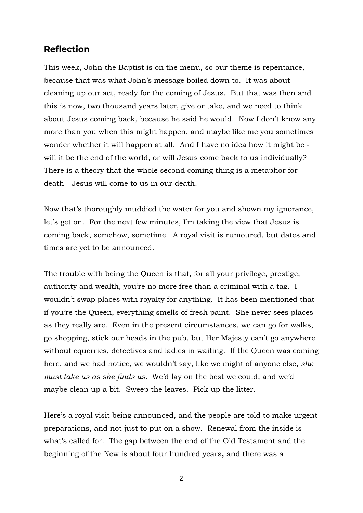#### **Reflection**

This week, John the Baptist is on the menu, so our theme is repentance, because that was what John's message boiled down to. It was about cleaning up our act, ready for the coming of Jesus. But that was then and this is now, two thousand years later, give or take, and we need to think about Jesus coming back, because he said he would. Now I don't know any more than you when this might happen, and maybe like me you sometimes wonder whether it will happen at all. And I have no idea how it might be will it be the end of the world, or will Jesus come back to us individually? There is a theory that the whole second coming thing is a metaphor for death - Jesus will come to us in our death.

Now that's thoroughly muddied the water for you and shown my ignorance, let's get on. For the next few minutes, I'm taking the view that Jesus is coming back, somehow, sometime. A royal visit is rumoured, but dates and times are yet to be announced.

The trouble with being the Queen is that, for all your privilege, prestige, authority and wealth, you're no more free than a criminal with a tag. I wouldn't swap places with royalty for anything. It has been mentioned that if you're the Queen, everything smells of fresh paint. She never sees places as they really are. Even in the present circumstances, we can go for walks, go shopping, stick our heads in the pub, but Her Majesty can't go anywhere without equerries, detectives and ladies in waiting. If the Queen was coming here, and we had notice, we wouldn't say, like we might of anyone else, *she must take us as she finds us.* We'd lay on the best we could, and we'd maybe clean up a bit. Sweep the leaves. Pick up the litter.

Here's a royal visit being announced, and the people are told to make urgent preparations, and not just to put on a show. Renewal from the inside is what's called for. The gap between the end of the Old Testament and the beginning of the New is about four hundred years**,** and there was a

2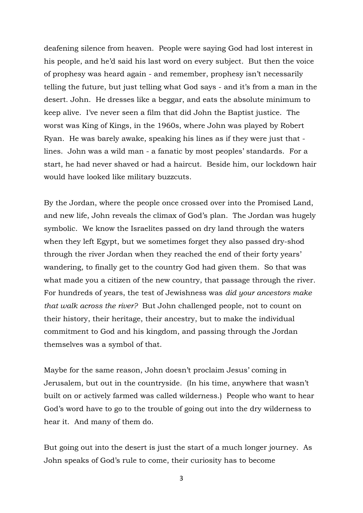deafening silence from heaven. People were saying God had lost interest in his people, and he'd said his last word on every subject. But then the voice of prophesy was heard again - and remember, prophesy isn't necessarily telling the future, but just telling what God says - and it's from a man in the desert. John. He dresses like a beggar, and eats the absolute minimum to keep alive. I've never seen a film that did John the Baptist justice. The worst was King of Kings, in the 1960s, where John was played by Robert Ryan. He was barely awake, speaking his lines as if they were just that lines. John was a wild man - a fanatic by most peoples' standards. For a start, he had never shaved or had a haircut. Beside him, our lockdown hair would have looked like military buzzcuts.

By the Jordan, where the people once crossed over into the Promised Land, and new life, John reveals the climax of God's plan. The Jordan was hugely symbolic. We know the Israelites passed on dry land through the waters when they left Egypt, but we sometimes forget they also passed dry-shod through the river Jordan when they reached the end of their forty years' wandering, to finally get to the country God had given them. So that was what made you a citizen of the new country, that passage through the river. For hundreds of years, the test of Jewishness was *did your ancestors make that walk across the river?* But John challenged people, not to count on their history, their heritage, their ancestry, but to make the individual commitment to God and his kingdom, and passing through the Jordan themselves was a symbol of that.

Maybe for the same reason, John doesn't proclaim Jesus' coming in Jerusalem, but out in the countryside. (In his time, anywhere that wasn't built on or actively farmed was called wilderness.) People who want to hear God's word have to go to the trouble of going out into the dry wilderness to hear it. And many of them do.

But going out into the desert is just the start of a much longer journey. As John speaks of God's rule to come, their curiosity has to become

3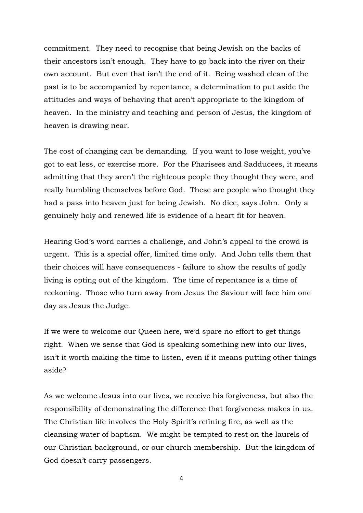commitment. They need to recognise that being Jewish on the backs of their ancestors isn't enough. They have to go back into the river on their own account. But even that isn't the end of it. Being washed clean of the past is to be accompanied by repentance, a determination to put aside the attitudes and ways of behaving that aren't appropriate to the kingdom of heaven. In the ministry and teaching and person of Jesus, the kingdom of heaven is drawing near.

The cost of changing can be demanding. If you want to lose weight, you've got to eat less, or exercise more. For the Pharisees and Sadducees, it means admitting that they aren't the righteous people they thought they were, and really humbling themselves before God. These are people who thought they had a pass into heaven just for being Jewish. No dice, says John. Only a genuinely holy and renewed life is evidence of a heart fit for heaven.

Hearing God's word carries a challenge, and John's appeal to the crowd is urgent. This is a special offer, limited time only. And John tells them that their choices will have consequences - failure to show the results of godly living is opting out of the kingdom. The time of repentance is a time of reckoning. Those who turn away from Jesus the Saviour will face him one day as Jesus the Judge.

If we were to welcome our Queen here, we'd spare no effort to get things right. When we sense that God is speaking something new into our lives, isn't it worth making the time to listen, even if it means putting other things aside?

As we welcome Jesus into our lives, we receive his forgiveness, but also the responsibility of demonstrating the difference that forgiveness makes in us. The Christian life involves the Holy Spirit's refining fire, as well as the cleansing water of baptism. We might be tempted to rest on the laurels of our Christian background, or our church membership. But the kingdom of God doesn't carry passengers.

4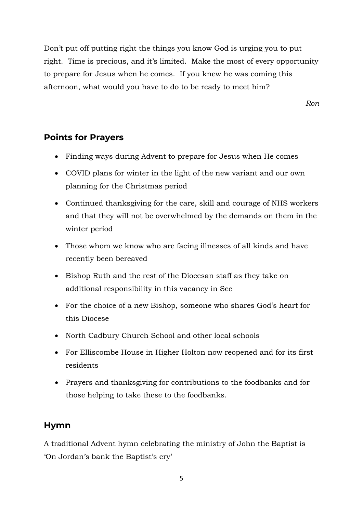Don't put off putting right the things you know God is urging you to put right. Time is precious, and it's limited. Make the most of every opportunity to prepare for Jesus when he comes. If you knew he was coming this afternoon, what would you have to do to be ready to meet him?

*Ron*

## **Points for Prayers**

- Finding ways during Advent to prepare for Jesus when He comes
- COVID plans for winter in the light of the new variant and our own planning for the Christmas period
- Continued thanksgiving for the care, skill and courage of NHS workers and that they will not be overwhelmed by the demands on them in the winter period
- Those whom we know who are facing illnesses of all kinds and have recently been bereaved
- Bishop Ruth and the rest of the Diocesan staff as they take on additional responsibility in this vacancy in See
- For the choice of a new Bishop, someone who shares God's heart for this Diocese
- North Cadbury Church School and other local schools
- For Elliscombe House in Higher Holton now reopened and for its first residents
- Prayers and thanksgiving for contributions to the foodbanks and for those helping to take these to the foodbanks.

## **Hymn**

A traditional Advent hymn celebrating the ministry of John the Baptist is 'On Jordan's bank the Baptist's cry'